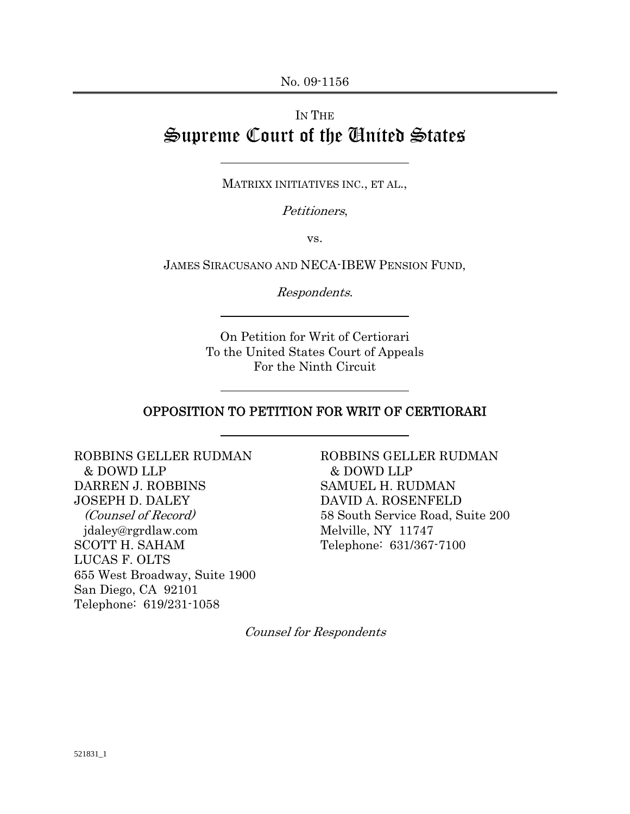# IN THE Supreme Court of the United States

MATRIXX INITIATIVES INC., ET AL.,

Petitioners,

vs.

JAMES SIRACUSANO AND NECA-IBEW PENSION FUND,

Respondents.

On Petition for Writ of Certiorari To the United States Court of Appeals For the Ninth Circuit

#### OPPOSITION TO PETITION FOR WRIT OF CERTIORARI

ROBBINS GELLER RUDMAN & DOWD LLP DARREN J. ROBBINS JOSEPH D. DALEY (Counsel of Record) jdaley@rgrdlaw.com SCOTT H. SAHAM LUCAS F. OLTS 655 West Broadway, Suite 1900 San Diego, CA 92101 Telephone: 619/231-1058

ROBBINS GELLER RUDMAN & DOWD LLP SAMUEL H. RUDMAN DAVID A. ROSENFELD 58 South Service Road, Suite 200 Melville, NY 11747 Telephone: 631/367-7100

Counsel for Respondents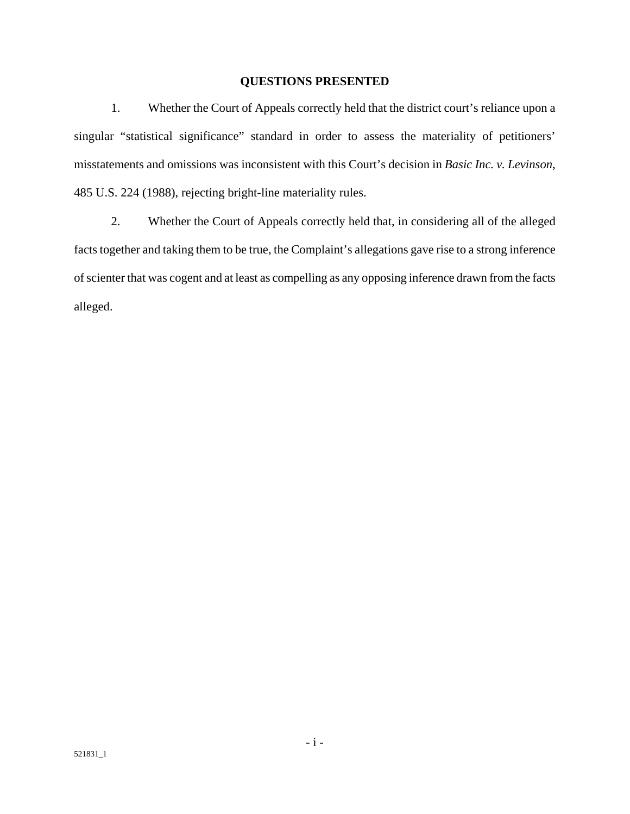#### **QUESTIONS PRESENTED**

1. Whether the Court of Appeals correctly held that the district court's reliance upon a singular "statistical significance" standard in order to assess the materiality of petitioners' misstatements and omissions was inconsistent with this Court's decision in *Basic Inc. v. Levinson*, 485 U.S. 224 (1988), rejecting bright-line materiality rules.

2. Whether the Court of Appeals correctly held that, in considering all of the alleged facts together and taking them to be true, the Complaint's allegations gave rise to a strong inference of scienter that was cogent and at least as compelling as any opposing inference drawn from the facts alleged.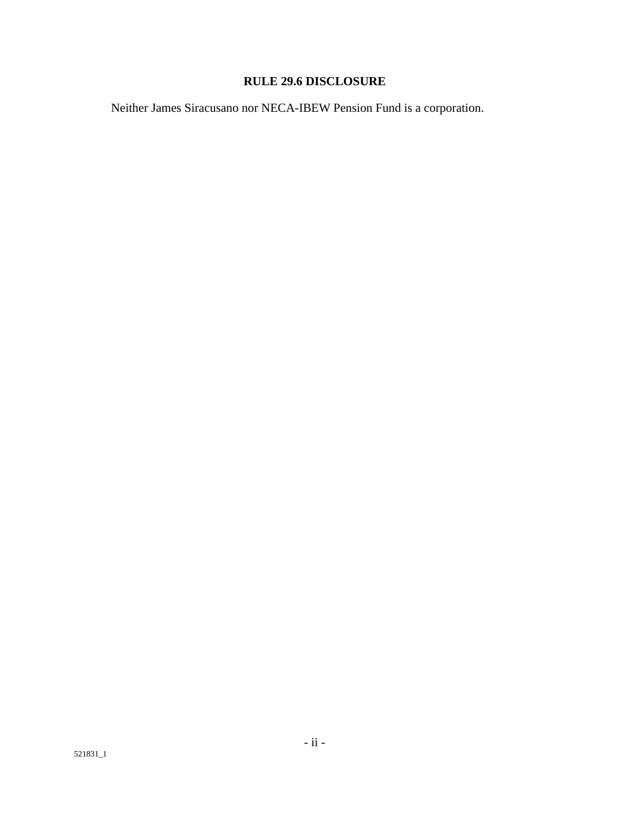# **RULE 29.6 DISCLOSURE**

Neither James Siracusano nor NECA-IBEW Pension Fund is a corporation.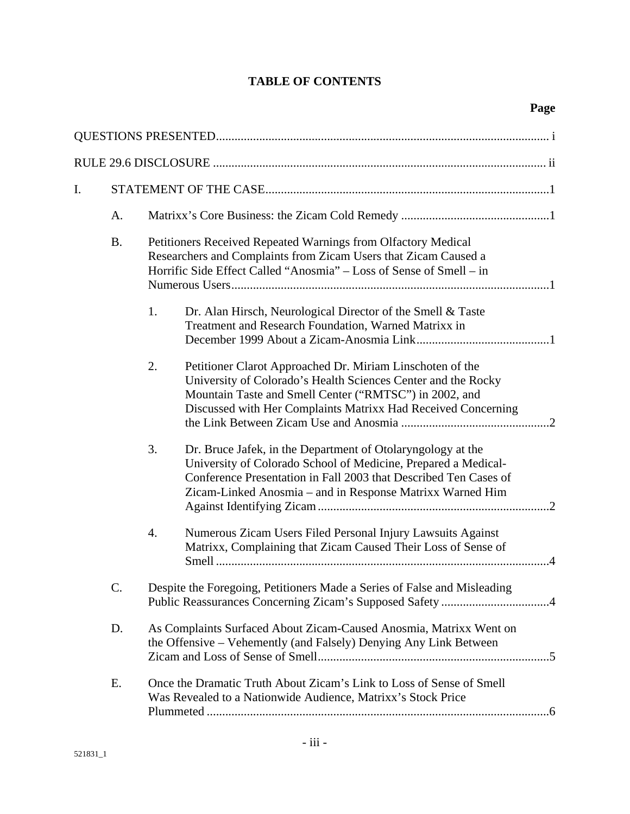# **TABLE OF CONTENTS**

| I. |           |    |                                                                                                                                                                                                                                                                |  |  |  |
|----|-----------|----|----------------------------------------------------------------------------------------------------------------------------------------------------------------------------------------------------------------------------------------------------------------|--|--|--|
|    | A.        |    |                                                                                                                                                                                                                                                                |  |  |  |
|    | <b>B.</b> |    | Petitioners Received Repeated Warnings from Olfactory Medical<br>Researchers and Complaints from Zicam Users that Zicam Caused a<br>Horrific Side Effect Called "Anosmia" - Loss of Sense of Smell - in                                                        |  |  |  |
|    |           | 1. | Dr. Alan Hirsch, Neurological Director of the Smell & Taste<br>Treatment and Research Foundation, Warned Matrixx in                                                                                                                                            |  |  |  |
|    |           | 2. | Petitioner Clarot Approached Dr. Miriam Linschoten of the<br>University of Colorado's Health Sciences Center and the Rocky<br>Mountain Taste and Smell Center ("RMTSC") in 2002, and<br>Discussed with Her Complaints Matrixx Had Received Concerning          |  |  |  |
|    |           | 3. | Dr. Bruce Jafek, in the Department of Otolaryngology at the<br>University of Colorado School of Medicine, Prepared a Medical-<br>Conference Presentation in Fall 2003 that Described Ten Cases of<br>Zicam-Linked Anosmia - and in Response Matrixx Warned Him |  |  |  |
|    |           | 4. | Numerous Zicam Users Filed Personal Injury Lawsuits Against<br>Matrixx, Complaining that Zicam Caused Their Loss of Sense of                                                                                                                                   |  |  |  |
|    | C.        |    | Despite the Foregoing, Petitioners Made a Series of False and Misleading                                                                                                                                                                                       |  |  |  |
|    | D.        |    | As Complaints Surfaced About Zicam-Caused Anosmia, Matrixx Went on<br>the Offensive – Vehemently (and Falsely) Denying Any Link Between                                                                                                                        |  |  |  |
|    | Ε.        |    | Once the Dramatic Truth About Zicam's Link to Loss of Sense of Smell<br>Was Revealed to a Nationwide Audience, Matrixx's Stock Price                                                                                                                           |  |  |  |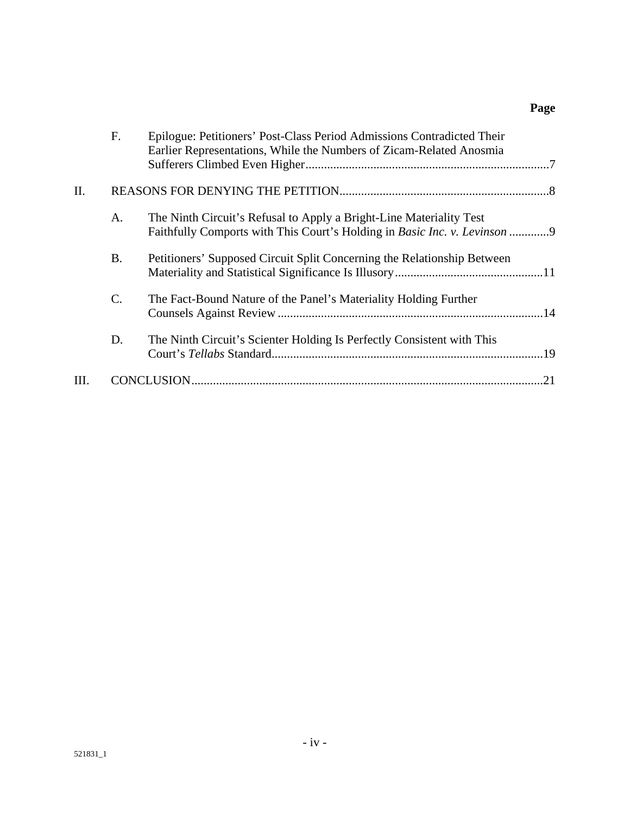# **Page**

|      | F.              | Epilogue: Petitioners' Post-Class Period Admissions Contradicted Their<br>Earlier Representations, While the Numbers of Zicam-Related Anosmia           |     |
|------|-----------------|---------------------------------------------------------------------------------------------------------------------------------------------------------|-----|
| Η.   |                 |                                                                                                                                                         |     |
|      | A.              | The Ninth Circuit's Refusal to Apply a Bright-Line Materiality Test<br>Faithfully Comports with This Court's Holding in <i>Basic Inc. v. Levinson</i> 9 |     |
|      | Β.              | Petitioners' Supposed Circuit Split Concerning the Relationship Between                                                                                 |     |
|      | $\mathcal{C}$ . | The Fact-Bound Nature of the Panel's Materiality Holding Further                                                                                        |     |
|      | D.              | The Ninth Circuit's Scienter Holding Is Perfectly Consistent with This                                                                                  |     |
| III. |                 |                                                                                                                                                         | .21 |
|      |                 |                                                                                                                                                         |     |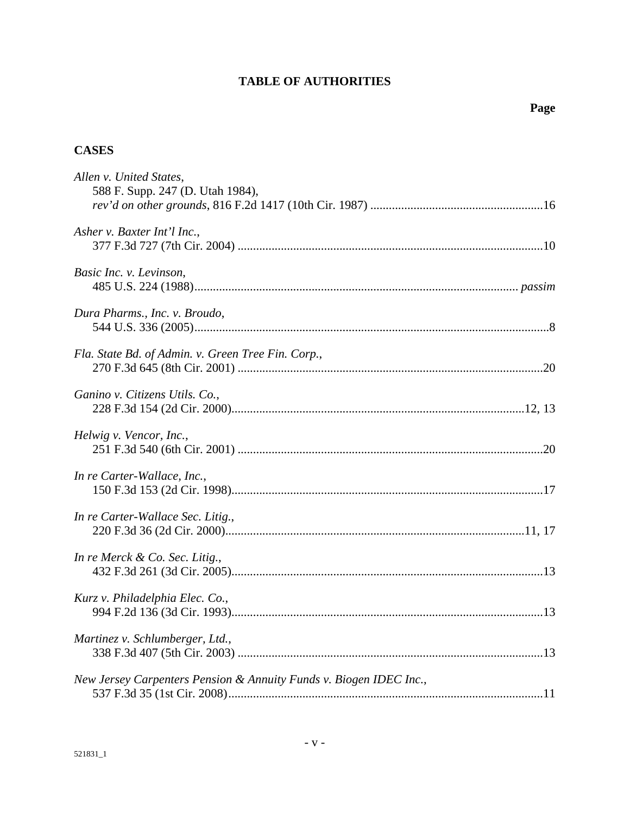# **TABLE OF AUTHORITIES**

# **CASES**

| Allen v. United States,<br>588 F. Supp. 247 (D. Utah 1984),        |  |
|--------------------------------------------------------------------|--|
|                                                                    |  |
| Asher v. Baxter Int'l Inc.,                                        |  |
| Basic Inc. v. Levinson,                                            |  |
| Dura Pharms., Inc. v. Broudo,                                      |  |
| Fla. State Bd. of Admin. v. Green Tree Fin. Corp.,                 |  |
| Ganino v. Citizens Utils. Co.,                                     |  |
| Helwig v. Vencor, Inc.,                                            |  |
| In re Carter-Wallace, Inc.,                                        |  |
| In re Carter-Wallace Sec. Litig.,                                  |  |
| In re Merck & Co. Sec. Litig.,                                     |  |
| Kurz v. Philadelphia Elec. Co.,                                    |  |
| Martinez v. Schlumberger, Ltd.,                                    |  |
| New Jersey Carpenters Pension & Annuity Funds v. Biogen IDEC Inc., |  |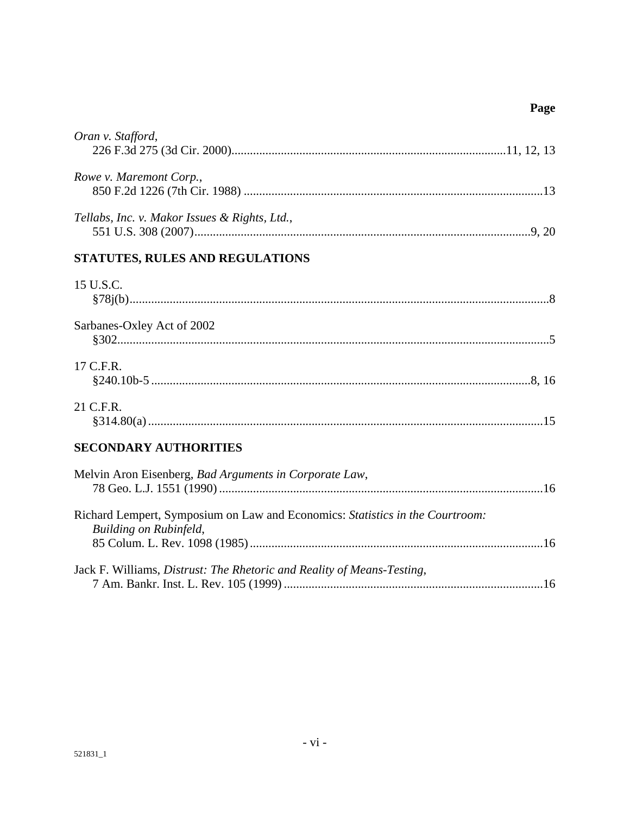# Page

| Oran v. Stafford,                                                                                              |
|----------------------------------------------------------------------------------------------------------------|
| Rowe v. Maremont Corp.,                                                                                        |
| Tellabs, Inc. v. Makor Issues & Rights, Ltd.,                                                                  |
| STATUTES, RULES AND REGULATIONS                                                                                |
| 15 U.S.C.                                                                                                      |
| Sarbanes-Oxley Act of 2002                                                                                     |
| 17 C.F.R.                                                                                                      |
| 21 C.F.R.                                                                                                      |
| <b>SECONDARY AUTHORITIES</b>                                                                                   |
| Melvin Aron Eisenberg, Bad Arguments in Corporate Law,                                                         |
| Richard Lempert, Symposium on Law and Economics: Statistics in the Courtroom:<br><b>Building on Rubinfeld,</b> |
| Jack F. Williams, Distrust: The Rhetoric and Reality of Means-Testing,                                         |
|                                                                                                                |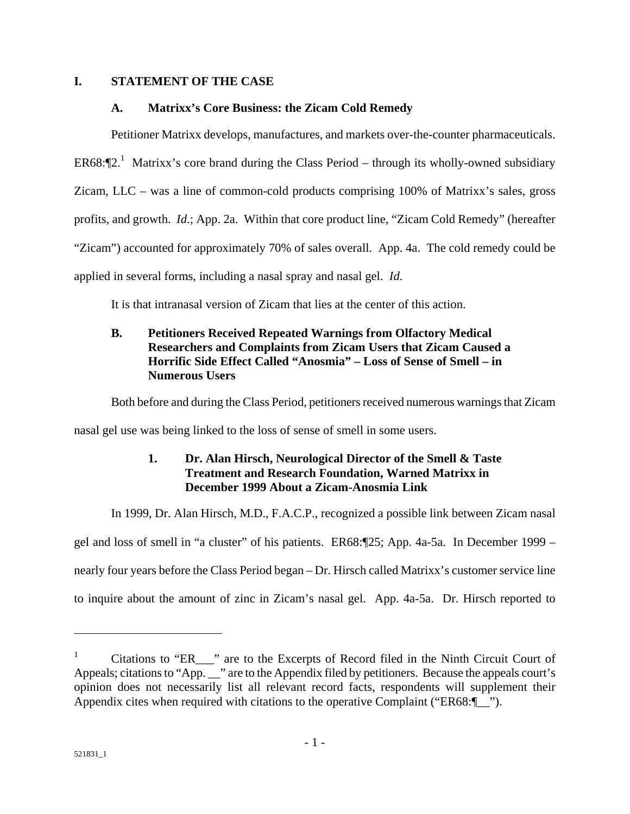### **I. STATEMENT OF THE CASE**

### **A. Matrixx's Core Business: the Zicam Cold Remedy**

Petitioner Matrixx develops, manufactures, and markets over-the-counter pharmaceuticals. ER68: $\P$ 2.<sup>1</sup> Matrixx's core brand during the Class Period – through its wholly-owned subsidiary Zicam, LLC – was a line of common-cold products comprising 100% of Matrixx's sales, gross profits, and growth. *Id*.; App. 2a. Within that core product line, "Zicam Cold Remedy" (hereafter "Zicam") accounted for approximately 70% of sales overall. App. 4a. The cold remedy could be applied in several forms, including a nasal spray and nasal gel. *Id*.

It is that intranasal version of Zicam that lies at the center of this action.

# **B. Petitioners Received Repeated Warnings from Olfactory Medical Researchers and Complaints from Zicam Users that Zicam Caused a Horrific Side Effect Called "Anosmia" – Loss of Sense of Smell – in Numerous Users**

Both before and during the Class Period, petitioners received numerous warnings that Zicam

nasal gel use was being linked to the loss of sense of smell in some users.

## **1. Dr. Alan Hirsch, Neurological Director of the Smell & Taste Treatment and Research Foundation, Warned Matrixx in December 1999 About a Zicam-Anosmia Link**

In 1999, Dr. Alan Hirsch, M.D., F.A.C.P., recognized a possible link between Zicam nasal

gel and loss of smell in "a cluster" of his patients. ER68:¶25; App. 4a-5a. In December 1999 – nearly four years before the Class Period began – Dr. Hirsch called Matrixx's customer service line

to inquire about the amount of zinc in Zicam's nasal gel. App. 4a-5a. Dr. Hirsch reported to

<sup>1</sup> Citations to "ER\_\_\_" are to the Excerpts of Record filed in the Ninth Circuit Court of Appeals; citations to "App. \_\_" are to the Appendix filed by petitioners. Because the appeals court's opinion does not necessarily list all relevant record facts, respondents will supplement their Appendix cites when required with citations to the operative Complaint ("ER68:¶ ").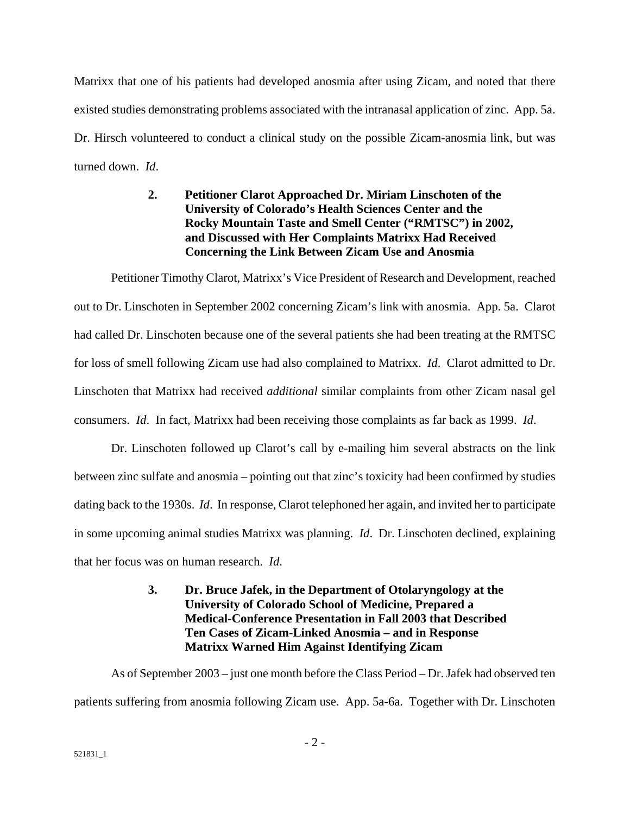Matrixx that one of his patients had developed anosmia after using Zicam, and noted that there existed studies demonstrating problems associated with the intranasal application of zinc. App. 5a. Dr. Hirsch volunteered to conduct a clinical study on the possible Zicam-anosmia link, but was turned down. *Id*.

# **2. Petitioner Clarot Approached Dr. Miriam Linschoten of the University of Colorado's Health Sciences Center and the Rocky Mountain Taste and Smell Center ("RMTSC") in 2002, and Discussed with Her Complaints Matrixx Had Received Concerning the Link Between Zicam Use and Anosmia**

Petitioner Timothy Clarot, Matrixx's Vice President of Research and Development, reached out to Dr. Linschoten in September 2002 concerning Zicam's link with anosmia. App. 5a. Clarot had called Dr. Linschoten because one of the several patients she had been treating at the RMTSC for loss of smell following Zicam use had also complained to Matrixx. *Id*. Clarot admitted to Dr. Linschoten that Matrixx had received *additional* similar complaints from other Zicam nasal gel consumers. *Id*. In fact, Matrixx had been receiving those complaints as far back as 1999. *Id*.

Dr. Linschoten followed up Clarot's call by e-mailing him several abstracts on the link between zinc sulfate and anosmia – pointing out that zinc's toxicity had been confirmed by studies dating back to the 1930s. *Id*. In response, Clarot telephoned her again, and invited her to participate in some upcoming animal studies Matrixx was planning. *Id*. Dr. Linschoten declined, explaining that her focus was on human research. *Id*.

## **3. Dr. Bruce Jafek, in the Department of Otolaryngology at the University of Colorado School of Medicine, Prepared a Medical-Conference Presentation in Fall 2003 that Described Ten Cases of Zicam-Linked Anosmia – and in Response Matrixx Warned Him Against Identifying Zicam**

As of September 2003 – just one month before the Class Period – Dr. Jafek had observed ten patients suffering from anosmia following Zicam use. App. 5a-6a. Together with Dr. Linschoten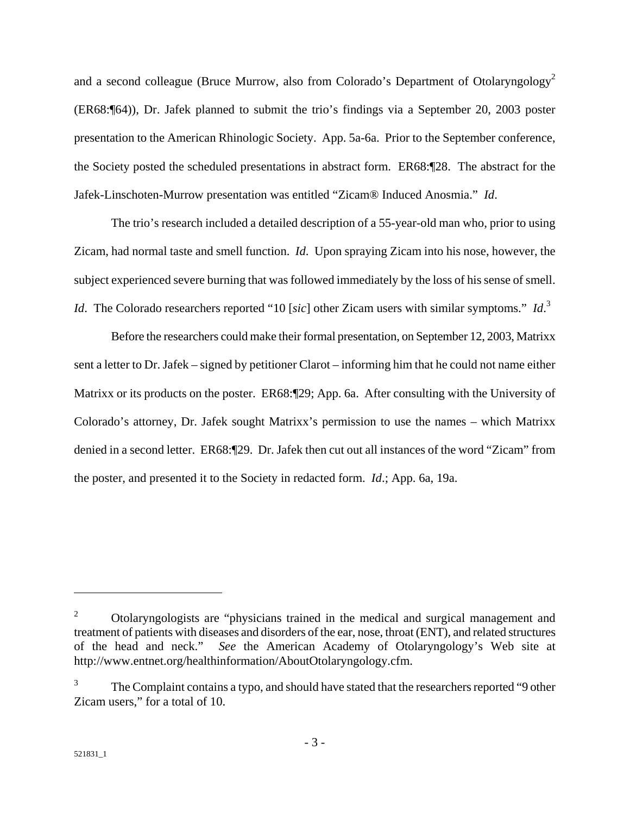and a second colleague (Bruce Murrow, also from Colorado's Department of Otolaryngology<sup>2</sup> (ER68:¶64)), Dr. Jafek planned to submit the trio's findings via a September 20, 2003 poster presentation to the American Rhinologic Society. App. 5a-6a. Prior to the September conference, the Society posted the scheduled presentations in abstract form. ER68:¶28. The abstract for the Jafek-Linschoten-Murrow presentation was entitled "Zicam® Induced Anosmia." *Id*.

The trio's research included a detailed description of a 55-year-old man who, prior to using Zicam, had normal taste and smell function. *Id*. Upon spraying Zicam into his nose, however, the subject experienced severe burning that was followed immediately by the loss of his sense of smell. *Id*. The Colorado researchers reported "10 [*sic*] other Zicam users with similar symptoms." *Id*. 3

Before the researchers could make their formal presentation, on September 12, 2003, Matrixx sent a letter to Dr. Jafek – signed by petitioner Clarot – informing him that he could not name either Matrixx or its products on the poster. ER68:¶29; App. 6a. After consulting with the University of Colorado's attorney, Dr. Jafek sought Matrixx's permission to use the names – which Matrixx denied in a second letter. ER68:¶29. Dr. Jafek then cut out all instances of the word "Zicam" from the poster, and presented it to the Society in redacted form. *Id*.; App. 6a, 19a.

 $\mathfrak{D}$  Otolaryngologists are "physicians trained in the medical and surgical management and treatment of patients with diseases and disorders of the ear, nose, throat (ENT), and related structures of the head and neck." *See* the American Academy of Otolaryngology's Web site at http://www.entnet.org/healthinformation/AboutOtolaryngology.cfm.

<sup>3</sup> The Complaint contains a typo, and should have stated that the researchers reported "9 other Zicam users," for a total of 10.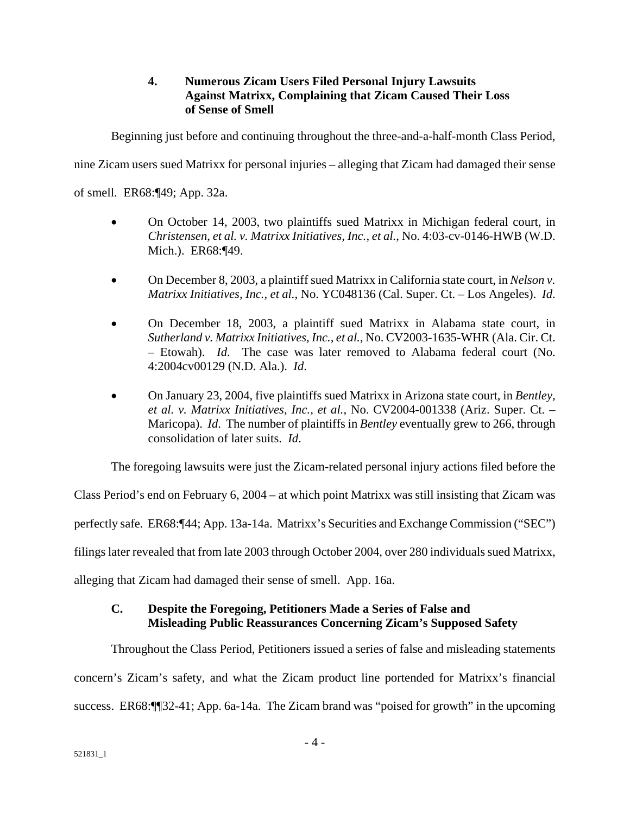## **4. Numerous Zicam Users Filed Personal Injury Lawsuits Against Matrixx, Complaining that Zicam Caused Their Loss of Sense of Smell**

Beginning just before and continuing throughout the three-and-a-half-month Class Period,

nine Zicam users sued Matrixx for personal injuries – alleging that Zicam had damaged their sense

of smell. ER68:¶49; App. 32a.

- On October 14, 2003, two plaintiffs sued Matrixx in Michigan federal court, in *Christensen, et al. v. Matrixx Initiatives, Inc., et al.*, No. 4:03-cv-0146-HWB (W.D. Mich.). ER68:¶49.
- On December 8, 2003, a plaintiff sued Matrixx in California state court, in *Nelson v. Matrixx Initiatives, Inc., et al.*, No. YC048136 (Cal. Super. Ct. – Los Angeles). *Id*.
- On December 18, 2003, a plaintiff sued Matrixx in Alabama state court, in *Sutherland v. Matrixx Initiatives, Inc., et al.*, No. CV2003-1635-WHR (Ala. Cir. Ct. – Etowah). *Id*. The case was later removed to Alabama federal court (No. 4:2004cv00129 (N.D. Ala.). *Id*.
- On January 23, 2004, five plaintiffs sued Matrixx in Arizona state court, in *Bentley, et al. v. Matrixx Initiatives, Inc., et al.*, No. CV2004-001338 (Ariz. Super. Ct. – Maricopa). *Id*. The number of plaintiffs in *Bentley* eventually grew to 266, through consolidation of later suits. *Id*.

The foregoing lawsuits were just the Zicam-related personal injury actions filed before the

Class Period's end on February 6, 2004 – at which point Matrixx was still insisting that Zicam was perfectly safe. ER68:¶44; App. 13a-14a. Matrixx's Securities and Exchange Commission ("SEC") filings later revealed that from late 2003 through October 2004, over 280 individuals sued Matrixx, alleging that Zicam had damaged their sense of smell. App. 16a.

## **C. Despite the Foregoing, Petitioners Made a Series of False and Misleading Public Reassurances Concerning Zicam's Supposed Safety**

Throughout the Class Period, Petitioners issued a series of false and misleading statements concern's Zicam's safety, and what the Zicam product line portended for Matrixx's financial success. ER68:¶¶32-41; App. 6a-14a. The Zicam brand was "poised for growth" in the upcoming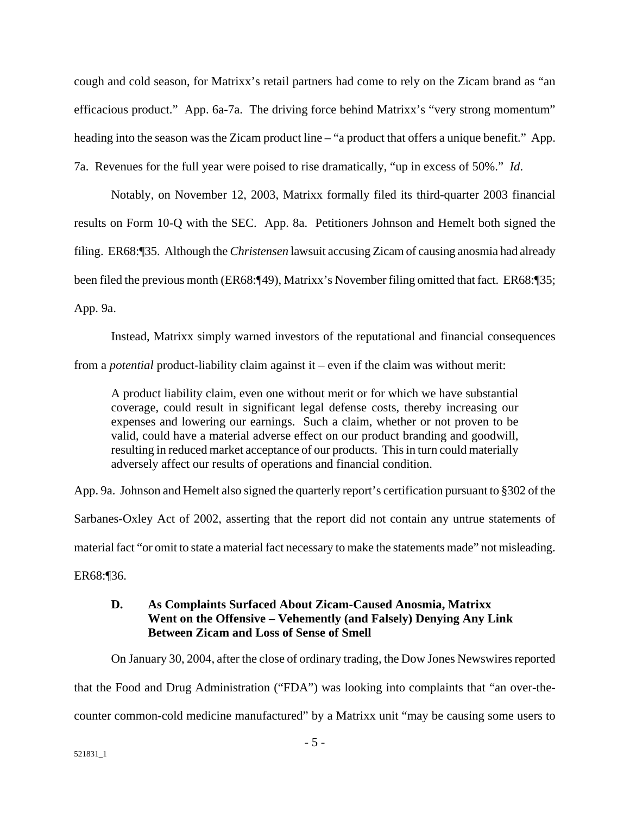cough and cold season, for Matrixx's retail partners had come to rely on the Zicam brand as "an efficacious product." App. 6a-7a. The driving force behind Matrixx's "very strong momentum" heading into the season was the Zicam product line – "a product that offers a unique benefit." App. 7a. Revenues for the full year were poised to rise dramatically, "up in excess of 50%." *Id*.

Notably, on November 12, 2003, Matrixx formally filed its third-quarter 2003 financial results on Form 10-Q with the SEC. App. 8a. Petitioners Johnson and Hemelt both signed the filing. ER68:¶35. Although the *Christensen* lawsuit accusing Zicam of causing anosmia had already been filed the previous month (ER68:¶49), Matrixx's November filing omitted that fact. ER68:¶35; App. 9a.

Instead, Matrixx simply warned investors of the reputational and financial consequences from a *potential* product-liability claim against it – even if the claim was without merit:

A product liability claim, even one without merit or for which we have substantial coverage, could result in significant legal defense costs, thereby increasing our expenses and lowering our earnings. Such a claim, whether or not proven to be valid, could have a material adverse effect on our product branding and goodwill, resulting in reduced market acceptance of our products. This in turn could materially adversely affect our results of operations and financial condition.

App. 9a. Johnson and Hemelt also signed the quarterly report's certification pursuant to §302 of the

Sarbanes-Oxley Act of 2002, asserting that the report did not contain any untrue statements of

material fact "or omit to state a material fact necessary to make the statements made" not misleading.

ER68:¶36.

## **D. As Complaints Surfaced About Zicam-Caused Anosmia, Matrixx Went on the Offensive – Vehemently (and Falsely) Denying Any Link Between Zicam and Loss of Sense of Smell**

On January 30, 2004, after the close of ordinary trading, the Dow Jones Newswires reported that the Food and Drug Administration ("FDA") was looking into complaints that "an over-thecounter common-cold medicine manufactured" by a Matrixx unit "may be causing some users to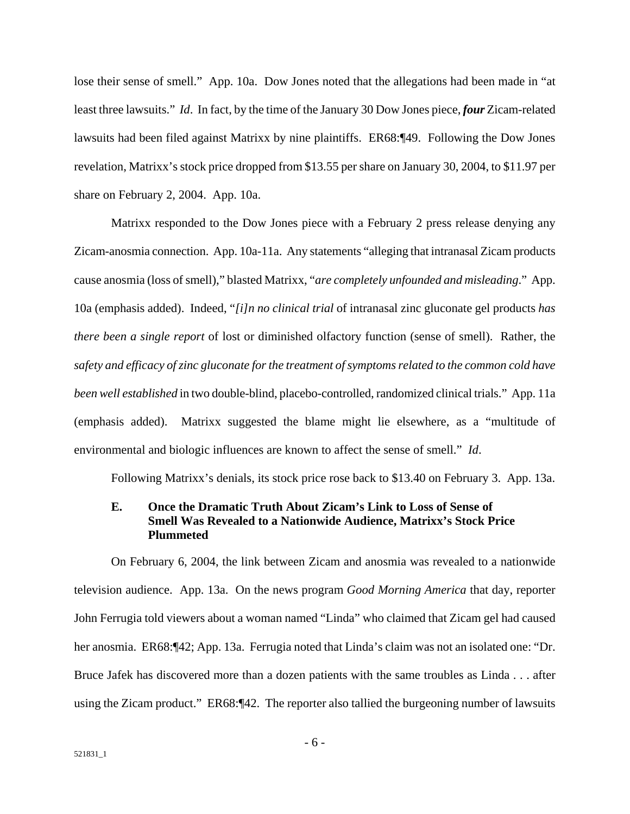lose their sense of smell." App. 10a. Dow Jones noted that the allegations had been made in "at least three lawsuits." *Id*. In fact, by the time of the January 30 Dow Jones piece, *four* Zicam-related lawsuits had been filed against Matrixx by nine plaintiffs. ER68:¶49. Following the Dow Jones revelation, Matrixx's stock price dropped from \$13.55 per share on January 30, 2004, to \$11.97 per share on February 2, 2004. App. 10a.

Matrixx responded to the Dow Jones piece with a February 2 press release denying any Zicam-anosmia connection. App. 10a-11a. Any statements "alleging that intranasal Zicam products cause anosmia (loss of smell)," blasted Matrixx, "*are completely unfounded and misleading*." App. 10a (emphasis added). Indeed, "*[i]n no clinical trial* of intranasal zinc gluconate gel products *has there been a single report* of lost or diminished olfactory function (sense of smell). Rather, the *safety and efficacy of zinc gluconate for the treatment of symptoms related to the common cold have been well established* in two double-blind, placebo-controlled, randomized clinical trials." App. 11a (emphasis added). Matrixx suggested the blame might lie elsewhere, as a "multitude of environmental and biologic influences are known to affect the sense of smell." *Id*.

Following Matrixx's denials, its stock price rose back to \$13.40 on February 3. App. 13a.

#### **E. Once the Dramatic Truth About Zicam's Link to Loss of Sense of Smell Was Revealed to a Nationwide Audience, Matrixx's Stock Price Plummeted**

On February 6, 2004, the link between Zicam and anosmia was revealed to a nationwide television audience. App. 13a. On the news program *Good Morning America* that day, reporter John Ferrugia told viewers about a woman named "Linda" who claimed that Zicam gel had caused her anosmia. ER68:¶42; App. 13a. Ferrugia noted that Linda's claim was not an isolated one: "Dr. Bruce Jafek has discovered more than a dozen patients with the same troubles as Linda . . . after using the Zicam product." ER68:¶42. The reporter also tallied the burgeoning number of lawsuits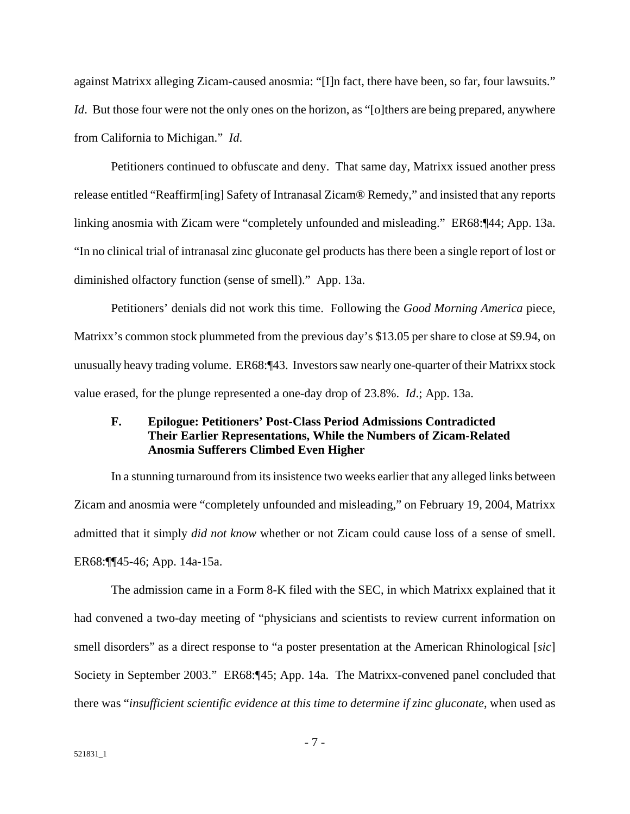against Matrixx alleging Zicam-caused anosmia: "[I]n fact, there have been, so far, four lawsuits." *Id*. But those four were not the only ones on the horizon, as "[o]thers are being prepared, anywhere from California to Michigan." *Id*.

Petitioners continued to obfuscate and deny. That same day, Matrixx issued another press release entitled "Reaffirm[ing] Safety of Intranasal Zicam® Remedy," and insisted that any reports linking anosmia with Zicam were "completely unfounded and misleading." ER68:¶44; App. 13a. "In no clinical trial of intranasal zinc gluconate gel products has there been a single report of lost or diminished olfactory function (sense of smell)." App. 13a.

Petitioners' denials did not work this time. Following the *Good Morning America* piece, Matrixx's common stock plummeted from the previous day's \$13.05 per share to close at \$9.94, on unusually heavy trading volume. ER68:¶43. Investors saw nearly one-quarter of their Matrixx stock value erased, for the plunge represented a one-day drop of 23.8%. *Id*.; App. 13a.

#### **F. Epilogue: Petitioners' Post-Class Period Admissions Contradicted Their Earlier Representations, While the Numbers of Zicam-Related Anosmia Sufferers Climbed Even Higher**

In a stunning turnaround from its insistence two weeks earlier that any alleged links between Zicam and anosmia were "completely unfounded and misleading," on February 19, 2004, Matrixx admitted that it simply *did not know* whether or not Zicam could cause loss of a sense of smell. ER68:¶¶45-46; App. 14a-15a.

The admission came in a Form 8-K filed with the SEC, in which Matrixx explained that it had convened a two-day meeting of "physicians and scientists to review current information on smell disorders" as a direct response to "a poster presentation at the American Rhinological [*sic*] Society in September 2003." ER68:¶45; App. 14a. The Matrixx-convened panel concluded that there was "*insufficient scientific evidence at this time to determine if zinc gluconate*, when used as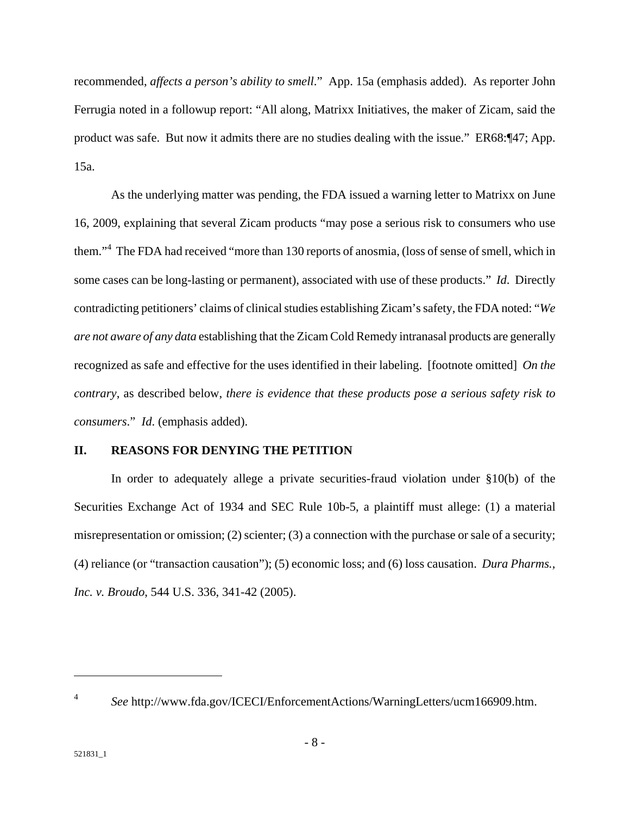recommended, *affects a person's ability to smell*." App. 15a (emphasis added). As reporter John Ferrugia noted in a followup report: "All along, Matrixx Initiatives, the maker of Zicam, said the product was safe. But now it admits there are no studies dealing with the issue." ER68:¶47; App. 15a.

As the underlying matter was pending, the FDA issued a warning letter to Matrixx on June 16, 2009, explaining that several Zicam products "may pose a serious risk to consumers who use them."<sup>4</sup> The FDA had received "more than 130 reports of anosmia, (loss of sense of smell, which in some cases can be long-lasting or permanent), associated with use of these products." *Id*. Directly contradicting petitioners' claims of clinical studies establishing Zicam's safety, the FDA noted: "*We are not aware of any data* establishing that the Zicam Cold Remedy intranasal products are generally recognized as safe and effective for the uses identified in their labeling. [footnote omitted] *On the contrary*, as described below, *there is evidence that these products pose a serious safety risk to consumers*." *Id*. (emphasis added).

#### **II. REASONS FOR DENYING THE PETITION**

In order to adequately allege a private securities-fraud violation under §10(b) of the Securities Exchange Act of 1934 and SEC Rule 10b-5, a plaintiff must allege: (1) a material misrepresentation or omission; (2) scienter; (3) a connection with the purchase or sale of a security; (4) reliance (or "transaction causation"); (5) economic loss; and (6) loss causation. *Dura Pharms., Inc. v. Broudo*, 544 U.S. 336, 341-42 (2005).

<sup>4</sup> *See* http://www.fda.gov/ICECI/EnforcementActions/WarningLetters/ucm166909.htm.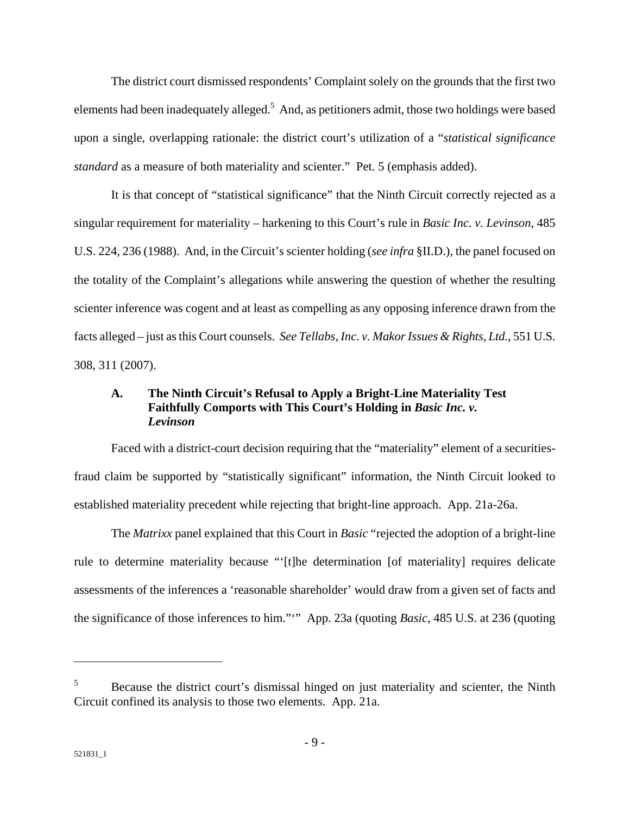The district court dismissed respondents' Complaint solely on the grounds that the first two elements had been inadequately alleged.<sup>5</sup> And, as petitioners admit, those two holdings were based upon a single, overlapping rationale: the district court's utilization of a "*statistical significance standard* as a measure of both materiality and scienter." Pet. 5 (emphasis added).

It is that concept of "statistical significance" that the Ninth Circuit correctly rejected as a singular requirement for materiality – harkening to this Court's rule in *Basic Inc. v. Levinson*, 485 U.S. 224, 236 (1988). And, in the Circuit's scienter holding (*see infra* §II.D.), the panel focused on the totality of the Complaint's allegations while answering the question of whether the resulting scienter inference was cogent and at least as compelling as any opposing inference drawn from the facts alleged – just as this Court counsels. *See Tellabs, Inc. v. Makor Issues & Rights, Ltd.*, 551 U.S. 308, 311 (2007).

### **A. The Ninth Circuit's Refusal to Apply a Bright-Line Materiality Test**  Faithfully Comports with This Court's Holding in *Basic Inc. v. Levinson*

Faced with a district-court decision requiring that the "materiality" element of a securitiesfraud claim be supported by "statistically significant" information, the Ninth Circuit looked to established materiality precedent while rejecting that bright-line approach. App. 21a-26a.

The *Matrixx* panel explained that this Court in *Basic* "rejected the adoption of a bright-line rule to determine materiality because "'[t]he determination [of materiality] requires delicate assessments of the inferences a 'reasonable shareholder' would draw from a given set of facts and the significance of those inferences to him."'" App. 23a (quoting *Basic*, 485 U.S. at 236 (quoting

<sup>5</sup> Because the district court's dismissal hinged on just materiality and scienter, the Ninth Circuit confined its analysis to those two elements. App. 21a.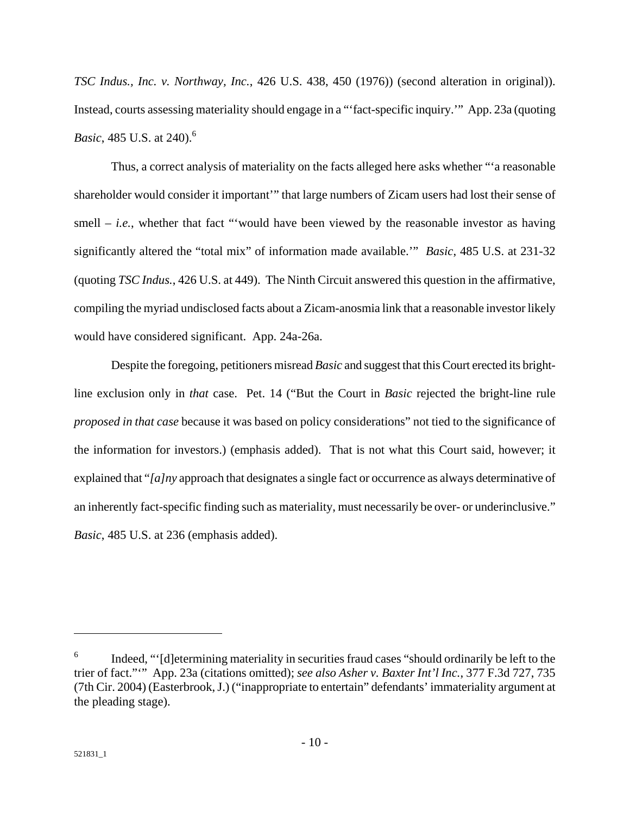*TSC Indus., Inc. v. Northway, Inc.*, 426 U.S. 438, 450 (1976)) (second alteration in original)). Instead, courts assessing materiality should engage in a "'fact-specific inquiry.'" App. 23a (quoting *Basic*, 485 U.S. at 240).<sup>6</sup>

Thus, a correct analysis of materiality on the facts alleged here asks whether "'a reasonable shareholder would consider it important'" that large numbers of Zicam users had lost their sense of smell  $-$  *i.e.*, whether that fact "would have been viewed by the reasonable investor as having significantly altered the "total mix" of information made available.'" *Basic*, 485 U.S. at 231-32 (quoting *TSC Indus.*, 426 U.S. at 449). The Ninth Circuit answered this question in the affirmative, compiling the myriad undisclosed facts about a Zicam-anosmia link that a reasonable investor likely would have considered significant. App. 24a-26a.

Despite the foregoing, petitioners misread *Basic* and suggest that this Court erected its brightline exclusion only in *that* case. Pet. 14 ("But the Court in *Basic* rejected the bright-line rule *proposed in that case* because it was based on policy considerations" not tied to the significance of the information for investors.) (emphasis added). That is not what this Court said, however; it explained that "*[a]ny* approach that designates a single fact or occurrence as always determinative of an inherently fact-specific finding such as materiality, must necessarily be over- or underinclusive." *Basic*, 485 U.S. at 236 (emphasis added).

<sup>6</sup> Indeed, "'[d]etermining materiality in securities fraud cases "should ordinarily be left to the trier of fact."'" App. 23a (citations omitted); *see also Asher v. Baxter Int'l Inc.*, 377 F.3d 727, 735 (7th Cir. 2004) (Easterbrook, J.) ("inappropriate to entertain" defendants' immateriality argument at the pleading stage).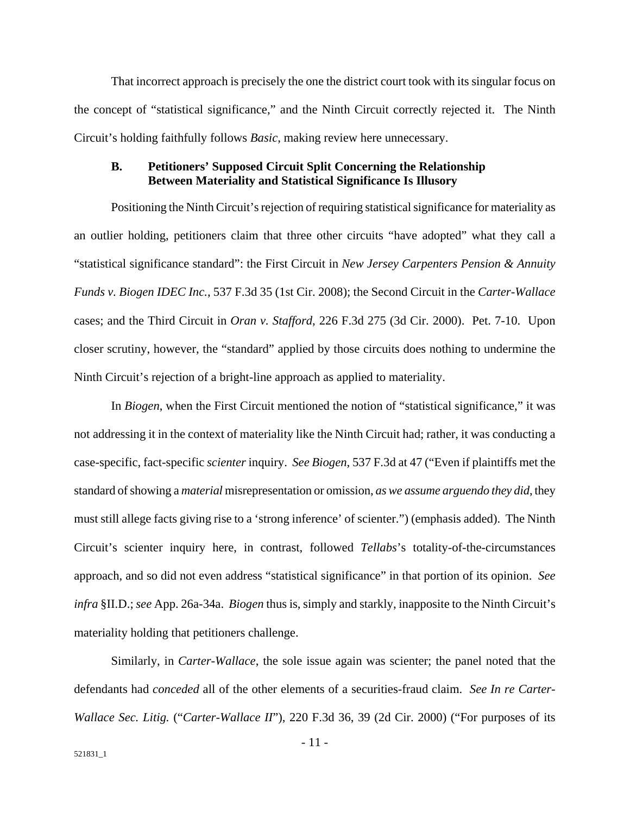That incorrect approach is precisely the one the district court took with its singular focus on the concept of "statistical significance," and the Ninth Circuit correctly rejected it. The Ninth Circuit's holding faithfully follows *Basic*, making review here unnecessary.

#### **B. Petitioners' Supposed Circuit Split Concerning the Relationship Between Materiality and Statistical Significance Is Illusory**

Positioning the Ninth Circuit's rejection of requiring statistical significance for materiality as an outlier holding, petitioners claim that three other circuits "have adopted" what they call a "statistical significance standard": the First Circuit in *New Jersey Carpenters Pension & Annuity Funds v. Biogen IDEC Inc.*, 537 F.3d 35 (1st Cir. 2008); the Second Circuit in the *Carter-Wallace* cases; and the Third Circuit in *Oran v. Stafford*, 226 F.3d 275 (3d Cir. 2000). Pet. 7-10. Upon closer scrutiny, however, the "standard" applied by those circuits does nothing to undermine the Ninth Circuit's rejection of a bright-line approach as applied to materiality.

In *Biogen*, when the First Circuit mentioned the notion of "statistical significance," it was not addressing it in the context of materiality like the Ninth Circuit had; rather, it was conducting a case-specific, fact-specific *scienter* inquiry. *See Biogen*, 537 F.3d at 47 ("Even if plaintiffs met the standard of showing a *material* misrepresentation or omission, *as we assume arguendo they did*, they must still allege facts giving rise to a 'strong inference' of scienter.") (emphasis added). The Ninth Circuit's scienter inquiry here, in contrast, followed *Tellabs*'s totality-of-the-circumstances approach, and so did not even address "statistical significance" in that portion of its opinion. *See infra* §II.D.; *see* App. 26a-34a. *Biogen* thus is, simply and starkly, inapposite to the Ninth Circuit's materiality holding that petitioners challenge.

Similarly, in *Carter-Wallace*, the sole issue again was scienter; the panel noted that the defendants had *conceded* all of the other elements of a securities-fraud claim. *See In re Carter-Wallace Sec. Litig.* ("*Carter-Wallace II*"), 220 F.3d 36, 39 (2d Cir. 2000) ("For purposes of its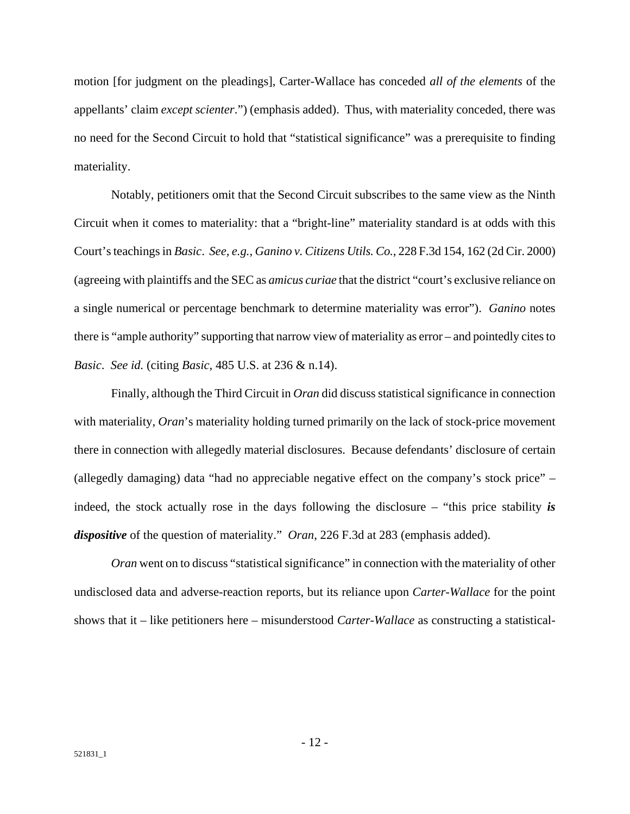motion [for judgment on the pleadings], Carter-Wallace has conceded *all of the elements* of the appellants' claim *except scienter*.") (emphasis added). Thus, with materiality conceded, there was no need for the Second Circuit to hold that "statistical significance" was a prerequisite to finding materiality.

Notably, petitioners omit that the Second Circuit subscribes to the same view as the Ninth Circuit when it comes to materiality: that a "bright-line" materiality standard is at odds with this Court's teachings in *Basic*. *See, e.g.*, *Ganino v. Citizens Utils. Co.*, 228 F.3d 154, 162 (2d Cir. 2000) (agreeing with plaintiffs and the SEC as *amicus curiae* that the district "court's exclusive reliance on a single numerical or percentage benchmark to determine materiality was error"). *Ganino* notes there is "ample authority" supporting that narrow view of materiality as error – and pointedly cites to *Basic*. *See id.* (citing *Basic*, 485 U.S. at 236 & n.14).

Finally, although the Third Circuit in *Oran* did discuss statistical significance in connection with materiality, *Oran*'s materiality holding turned primarily on the lack of stock-price movement there in connection with allegedly material disclosures. Because defendants' disclosure of certain (allegedly damaging) data "had no appreciable negative effect on the company's stock price" – indeed, the stock actually rose in the days following the disclosure – "this price stability *is dispositive* of the question of materiality." *Oran*, 226 F.3d at 283 (emphasis added).

*Oran* went on to discuss "statistical significance" in connection with the materiality of other undisclosed data and adverse-reaction reports, but its reliance upon *Carter-Wallace* for the point shows that it – like petitioners here – misunderstood *Carter-Wallace* as constructing a statistical-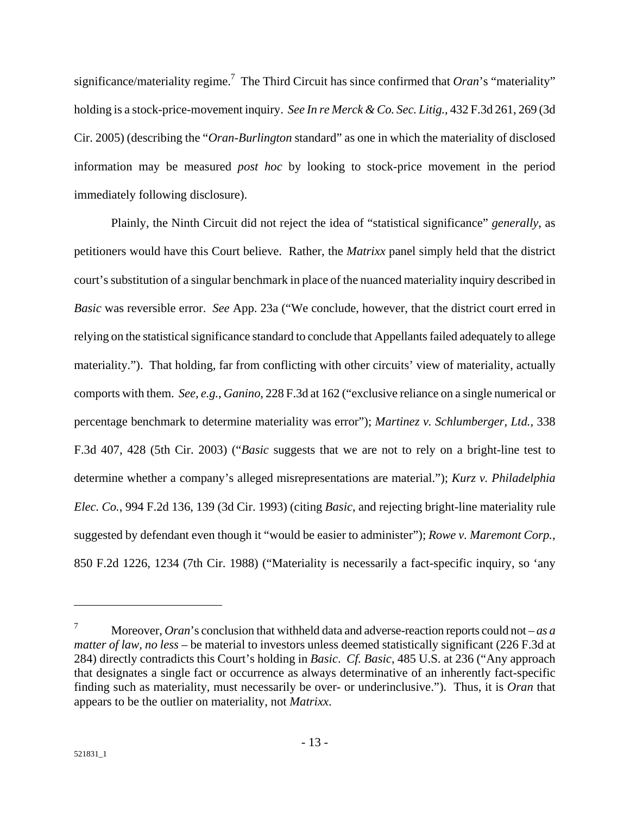significance/materiality regime.<sup>7</sup> The Third Circuit has since confirmed that  $Oran$ 's "materiality" holding is a stock-price-movement inquiry. *See In re Merck & Co. Sec. Litig.*, 432 F.3d 261, 269 (3d Cir. 2005) (describing the "*Oran-Burlington* standard" as one in which the materiality of disclosed information may be measured *post hoc* by looking to stock-price movement in the period immediately following disclosure).

Plainly, the Ninth Circuit did not reject the idea of "statistical significance" *generally*, as petitioners would have this Court believe. Rather, the *Matrixx* panel simply held that the district court's substitution of a singular benchmark in place of the nuanced materiality inquiry described in *Basic* was reversible error. *See* App. 23a ("We conclude, however, that the district court erred in relying on the statistical significance standard to conclude that Appellants failed adequately to allege materiality."). That holding, far from conflicting with other circuits' view of materiality, actually comports with them. *See, e.g.*, *Ganino*, 228 F.3d at 162 ("exclusive reliance on a single numerical or percentage benchmark to determine materiality was error"); *Martinez v. Schlumberger, Ltd.*, 338 F.3d 407, 428 (5th Cir. 2003) ("*Basic* suggests that we are not to rely on a bright-line test to determine whether a company's alleged misrepresentations are material."); *Kurz v. Philadelphia Elec. Co.*, 994 F.2d 136, 139 (3d Cir. 1993) (citing *Basic*, and rejecting bright-line materiality rule suggested by defendant even though it "would be easier to administer"); *Rowe v. Maremont Corp.*, 850 F.2d 1226, 1234 (7th Cir. 1988) ("Materiality is necessarily a fact-specific inquiry, so 'any

<u>.</u>

<sup>7</sup> Moreover, *Oran*'s conclusion that withheld data and adverse-reaction reports could not – *as a matter of law, no less* – be material to investors unless deemed statistically significant (226 F.3d at 284) directly contradicts this Court's holding in *Basic*. *Cf. Basic*, 485 U.S. at 236 ("Any approach that designates a single fact or occurrence as always determinative of an inherently fact-specific finding such as materiality, must necessarily be over- or underinclusive."). Thus, it is *Oran* that appears to be the outlier on materiality, not *Matrixx*.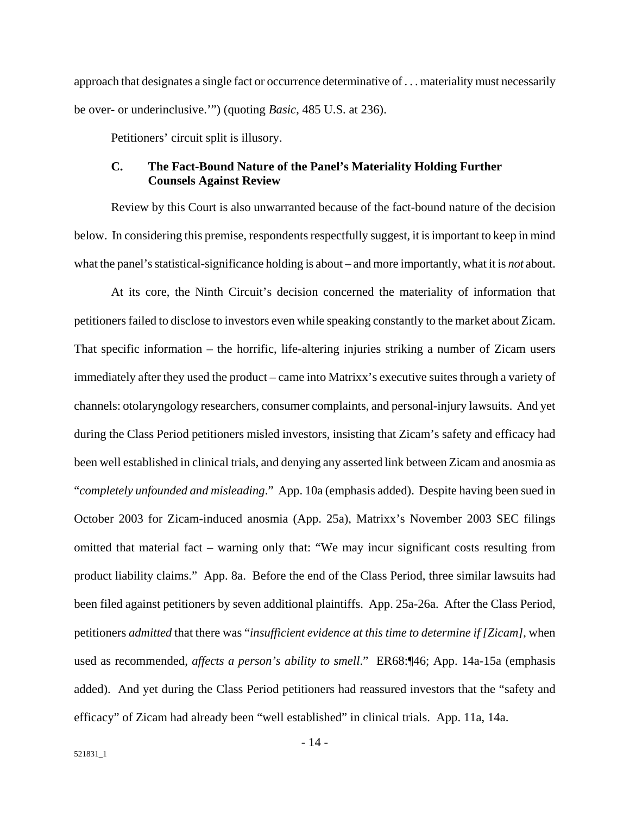approach that designates a single fact or occurrence determinative of . . . materiality must necessarily be over- or underinclusive.'") (quoting *Basic*, 485 U.S. at 236).

Petitioners' circuit split is illusory.

#### **C. The Fact-Bound Nature of the Panel's Materiality Holding Further Counsels Against Review**

Review by this Court is also unwarranted because of the fact-bound nature of the decision below. In considering this premise, respondents respectfully suggest, it is important to keep in mind what the panel's statistical-significance holding is about – and more importantly, what it is *not* about.

At its core, the Ninth Circuit's decision concerned the materiality of information that petitioners failed to disclose to investors even while speaking constantly to the market about Zicam. That specific information – the horrific, life-altering injuries striking a number of Zicam users immediately after they used the product – came into Matrixx's executive suites through a variety of channels: otolaryngology researchers, consumer complaints, and personal-injury lawsuits. And yet during the Class Period petitioners misled investors, insisting that Zicam's safety and efficacy had been well established in clinical trials, and denying any asserted link between Zicam and anosmia as "*completely unfounded and misleading*." App. 10a (emphasis added). Despite having been sued in October 2003 for Zicam-induced anosmia (App. 25a), Matrixx's November 2003 SEC filings omitted that material fact – warning only that: "We may incur significant costs resulting from product liability claims." App. 8a. Before the end of the Class Period, three similar lawsuits had been filed against petitioners by seven additional plaintiffs. App. 25a-26a. After the Class Period, petitioners *admitted* that there was "*insufficient evidence at this time to determine if [Zicam]*, when used as recommended, *affects a person's ability to smell*." ER68:¶46; App. 14a-15a (emphasis added). And yet during the Class Period petitioners had reassured investors that the "safety and efficacy" of Zicam had already been "well established" in clinical trials. App. 11a, 14a.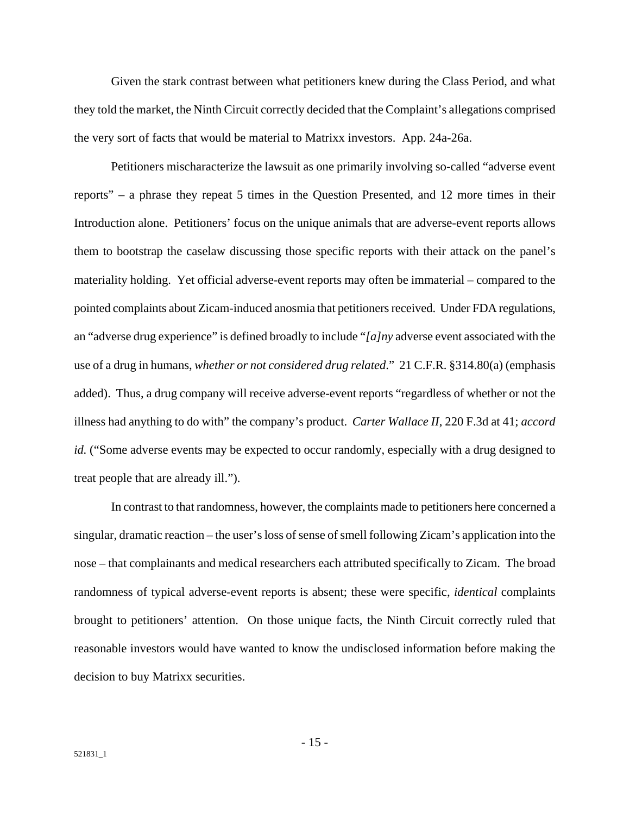Given the stark contrast between what petitioners knew during the Class Period, and what they told the market, the Ninth Circuit correctly decided that the Complaint's allegations comprised the very sort of facts that would be material to Matrixx investors. App. 24a-26a.

Petitioners mischaracterize the lawsuit as one primarily involving so-called "adverse event reports" – a phrase they repeat 5 times in the Question Presented, and 12 more times in their Introduction alone. Petitioners' focus on the unique animals that are adverse-event reports allows them to bootstrap the caselaw discussing those specific reports with their attack on the panel's materiality holding. Yet official adverse-event reports may often be immaterial – compared to the pointed complaints about Zicam-induced anosmia that petitioners received. Under FDA regulations, an "adverse drug experience" is defined broadly to include "*[a]ny* adverse event associated with the use of a drug in humans, *whether or not considered drug related*." 21 C.F.R. §314.80(a) (emphasis added). Thus, a drug company will receive adverse-event reports "regardless of whether or not the illness had anything to do with" the company's product. *Carter Wallace II*, 220 F.3d at 41; *accord id.* ("Some adverse events may be expected to occur randomly, especially with a drug designed to treat people that are already ill.").

In contrast to that randomness, however, the complaints made to petitioners here concerned a singular, dramatic reaction – the user's loss of sense of smell following Zicam's application into the nose – that complainants and medical researchers each attributed specifically to Zicam. The broad randomness of typical adverse-event reports is absent; these were specific, *identical* complaints brought to petitioners' attention. On those unique facts, the Ninth Circuit correctly ruled that reasonable investors would have wanted to know the undisclosed information before making the decision to buy Matrixx securities.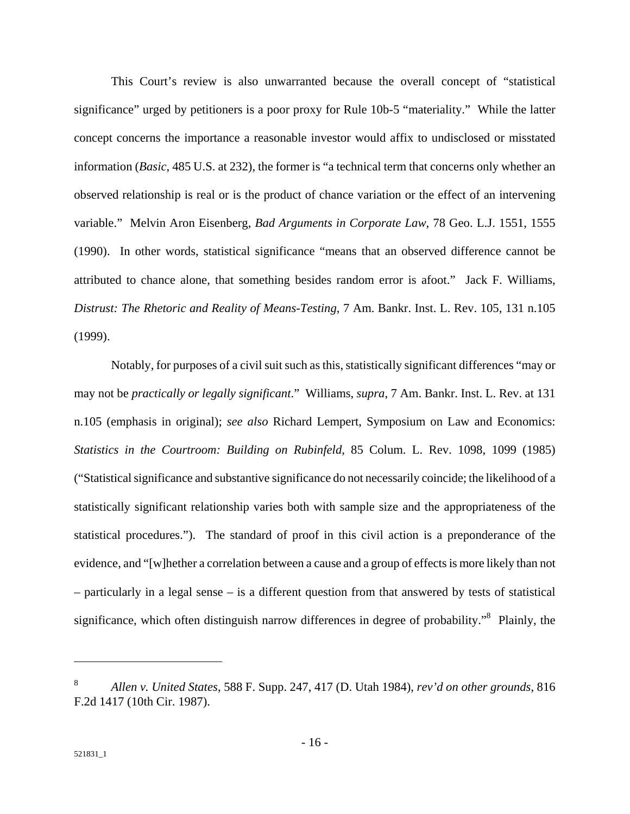This Court's review is also unwarranted because the overall concept of "statistical significance" urged by petitioners is a poor proxy for Rule 10b-5 "materiality." While the latter concept concerns the importance a reasonable investor would affix to undisclosed or misstated information (*Basic*, 485 U.S. at 232), the former is "a technical term that concerns only whether an observed relationship is real or is the product of chance variation or the effect of an intervening variable." Melvin Aron Eisenberg, *Bad Arguments in Corporate Law*, 78 Geo. L.J. 1551, 1555 (1990). In other words, statistical significance "means that an observed difference cannot be attributed to chance alone, that something besides random error is afoot." Jack F. Williams, *Distrust: The Rhetoric and Reality of Means-Testing*, 7 Am. Bankr. Inst. L. Rev. 105, 131 n.105 (1999).

Notably, for purposes of a civil suit such as this, statistically significant differences "may or may not be *practically or legally significant*." Williams, *supra*, 7 Am. Bankr. Inst. L. Rev. at 131 n.105 (emphasis in original); *see also* Richard Lempert, Symposium on Law and Economics: *Statistics in the Courtroom: Building on Rubinfeld*, 85 Colum. L. Rev. 1098, 1099 (1985) ("Statistical significance and substantive significance do not necessarily coincide; the likelihood of a statistically significant relationship varies both with sample size and the appropriateness of the statistical procedures."). The standard of proof in this civil action is a preponderance of the evidence, and "[w]hether a correlation between a cause and a group of effects is more likely than not – particularly in a legal sense – is a different question from that answered by tests of statistical significance, which often distinguish narrow differences in degree of probability."<sup>8</sup> Plainly, the

<sup>8</sup> *Allen v. United States*, 588 F. Supp. 247, 417 (D. Utah 1984), *rev'd on other grounds*, 816 F.2d 1417 (10th Cir. 1987).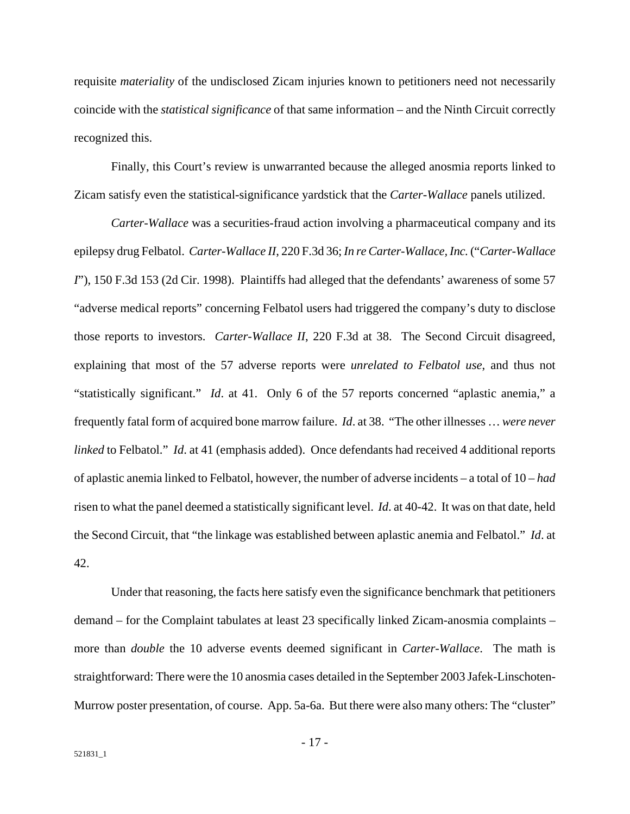requisite *materiality* of the undisclosed Zicam injuries known to petitioners need not necessarily coincide with the *statistical significance* of that same information – and the Ninth Circuit correctly recognized this.

Finally, this Court's review is unwarranted because the alleged anosmia reports linked to Zicam satisfy even the statistical-significance yardstick that the *Carter-Wallace* panels utilized.

*Carter-Wallace* was a securities-fraud action involving a pharmaceutical company and its epilepsy drug Felbatol. *Carter-Wallace II*, 220 F.3d 36; *In re Carter-Wallace, Inc.* ("*Carter-Wallace I*"), 150 F.3d 153 (2d Cir. 1998). Plaintiffs had alleged that the defendants' awareness of some 57 "adverse medical reports" concerning Felbatol users had triggered the company's duty to disclose those reports to investors. *Carter-Wallace II*, 220 F.3d at 38. The Second Circuit disagreed, explaining that most of the 57 adverse reports were *unrelated to Felbatol use*, and thus not "statistically significant." *Id*. at 41. Only 6 of the 57 reports concerned "aplastic anemia," a frequently fatal form of acquired bone marrow failure. *Id*. at 38. "The other illnesses … *were never linked* to Felbatol." *Id*. at 41 (emphasis added). Once defendants had received 4 additional reports of aplastic anemia linked to Felbatol, however, the number of adverse incidents – a total of 10 – *had* risen to what the panel deemed a statistically significant level. *Id*. at 40-42. It was on that date, held the Second Circuit, that "the linkage was established between aplastic anemia and Felbatol." *Id*. at 42.

Under that reasoning, the facts here satisfy even the significance benchmark that petitioners demand – for the Complaint tabulates at least 23 specifically linked Zicam-anosmia complaints – more than *double* the 10 adverse events deemed significant in *Carter-Wallace*. The math is straightforward: There were the 10 anosmia cases detailed in the September 2003 Jafek-Linschoten-Murrow poster presentation, of course. App. 5a-6a. But there were also many others: The "cluster"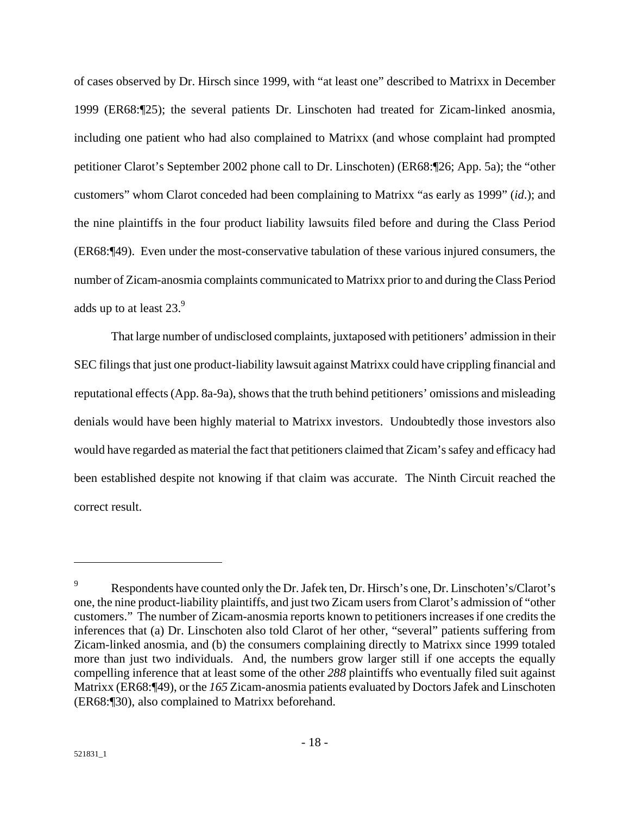of cases observed by Dr. Hirsch since 1999, with "at least one" described to Matrixx in December 1999 (ER68:¶25); the several patients Dr. Linschoten had treated for Zicam-linked anosmia, including one patient who had also complained to Matrixx (and whose complaint had prompted petitioner Clarot's September 2002 phone call to Dr. Linschoten) (ER68:¶26; App. 5a); the "other customers" whom Clarot conceded had been complaining to Matrixx "as early as 1999" (*id*.); and the nine plaintiffs in the four product liability lawsuits filed before and during the Class Period (ER68:¶49). Even under the most-conservative tabulation of these various injured consumers, the number of Zicam-anosmia complaints communicated to Matrixx prior to and during the Class Period adds up to at least  $23.<sup>9</sup>$ 

That large number of undisclosed complaints, juxtaposed with petitioners' admission in their SEC filings that just one product-liability lawsuit against Matrixx could have crippling financial and reputational effects (App. 8a-9a), shows that the truth behind petitioners' omissions and misleading denials would have been highly material to Matrixx investors. Undoubtedly those investors also would have regarded as material the fact that petitioners claimed that Zicam's safey and efficacy had been established despite not knowing if that claim was accurate. The Ninth Circuit reached the correct result.

1

<sup>9</sup> Respondents have counted only the Dr. Jafek ten, Dr. Hirsch's one, Dr. Linschoten's/Clarot's one, the nine product-liability plaintiffs, and just two Zicam users from Clarot's admission of "other customers." The number of Zicam-anosmia reports known to petitioners increases if one credits the inferences that (a) Dr. Linschoten also told Clarot of her other, "several" patients suffering from Zicam-linked anosmia, and (b) the consumers complaining directly to Matrixx since 1999 totaled more than just two individuals. And, the numbers grow larger still if one accepts the equally compelling inference that at least some of the other *288* plaintiffs who eventually filed suit against Matrixx (ER68:¶49), or the *165* Zicam-anosmia patients evaluated by Doctors Jafek and Linschoten (ER68:¶30), also complained to Matrixx beforehand.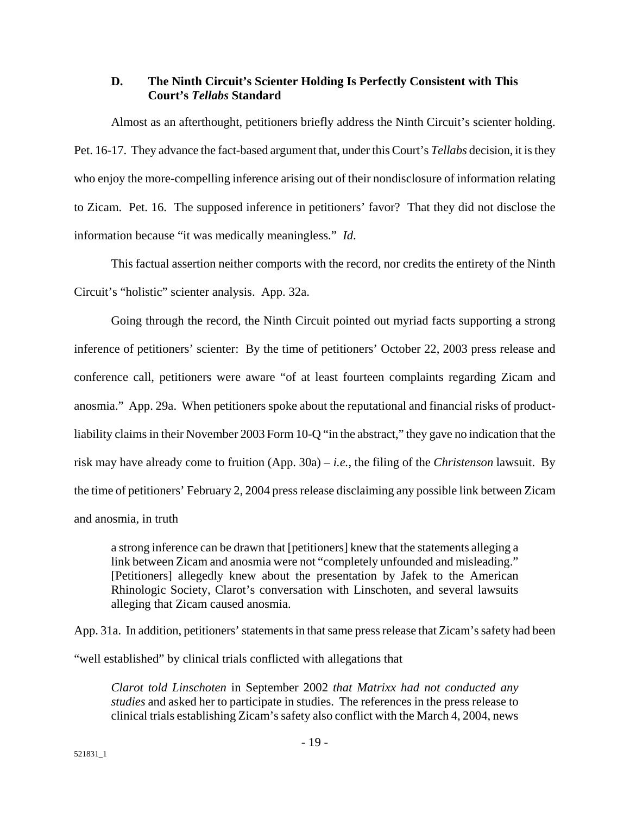#### **D. The Ninth Circuit's Scienter Holding Is Perfectly Consistent with This Court's** *Tellabs* **Standard**

Almost as an afterthought, petitioners briefly address the Ninth Circuit's scienter holding. Pet. 16-17. They advance the fact-based argument that, under this Court's *Tellabs* decision, it is they who enjoy the more-compelling inference arising out of their nondisclosure of information relating to Zicam. Pet. 16. The supposed inference in petitioners' favor? That they did not disclose the information because "it was medically meaningless." *Id*.

This factual assertion neither comports with the record, nor credits the entirety of the Ninth Circuit's "holistic" scienter analysis. App. 32a.

Going through the record, the Ninth Circuit pointed out myriad facts supporting a strong inference of petitioners' scienter: By the time of petitioners' October 22, 2003 press release and conference call, petitioners were aware "of at least fourteen complaints regarding Zicam and anosmia." App. 29a. When petitioners spoke about the reputational and financial risks of productliability claims in their November 2003 Form 10-Q "in the abstract," they gave no indication that the risk may have already come to fruition (App. 30a) – *i.e.*, the filing of the *Christenson* lawsuit. By the time of petitioners' February 2, 2004 press release disclaiming any possible link between Zicam and anosmia, in truth

a strong inference can be drawn that [petitioners] knew that the statements alleging a link between Zicam and anosmia were not "completely unfounded and misleading." [Petitioners] allegedly knew about the presentation by Jafek to the American Rhinologic Society, Clarot's conversation with Linschoten, and several lawsuits alleging that Zicam caused anosmia.

App. 31a. In addition, petitioners' statements in that same press release that Zicam's safety had been "well established" by clinical trials conflicted with allegations that

*Clarot told Linschoten* in September 2002 *that Matrixx had not conducted any studies* and asked her to participate in studies. The references in the press release to clinical trials establishing Zicam's safety also conflict with the March 4, 2004, news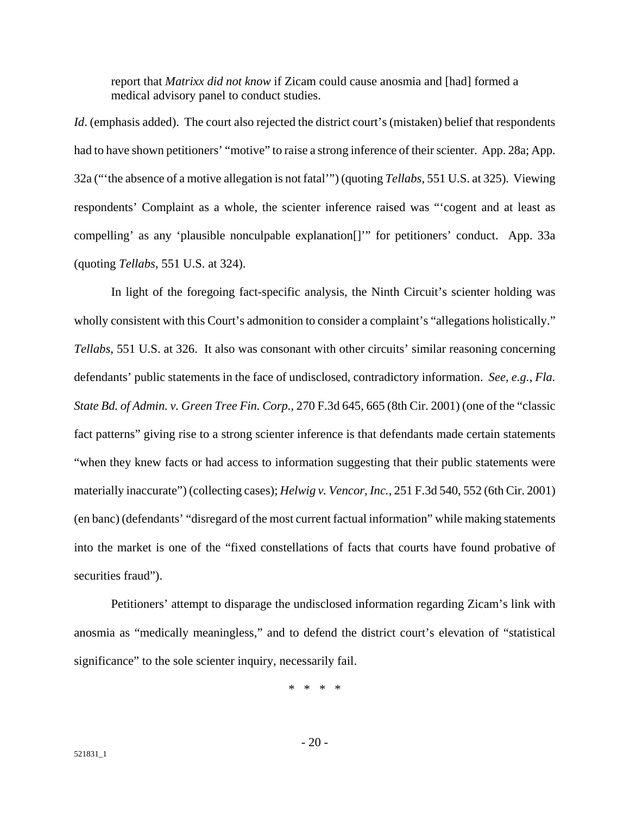report that *Matrixx did not know* if Zicam could cause anosmia and [had] formed a medical advisory panel to conduct studies.

*Id.* (emphasis added). The court also rejected the district court's (mistaken) belief that respondents had to have shown petitioners' "motive" to raise a strong inference of their scienter. App. 28a; App. 32a ("'the absence of a motive allegation is not fatal'") (quoting *Tellabs*, 551 U.S. at 325). Viewing respondents' Complaint as a whole, the scienter inference raised was "'cogent and at least as compelling' as any 'plausible nonculpable explanation[]'" for petitioners' conduct. App. 33a (quoting *Tellabs*, 551 U.S. at 324).

In light of the foregoing fact-specific analysis, the Ninth Circuit's scienter holding was wholly consistent with this Court's admonition to consider a complaint's "allegations holistically." *Tellabs*, 551 U.S. at 326. It also was consonant with other circuits' similar reasoning concerning defendants' public statements in the face of undisclosed, contradictory information. *See, e.g.*, *Fla. State Bd. of Admin. v. Green Tree Fin. Corp.*, 270 F.3d 645, 665 (8th Cir. 2001) (one of the "classic fact patterns" giving rise to a strong scienter inference is that defendants made certain statements "when they knew facts or had access to information suggesting that their public statements were materially inaccurate") (collecting cases); *Helwig v. Vencor, Inc.*, 251 F.3d 540, 552 (6th Cir. 2001) (en banc) (defendants' "disregard of the most current factual information" while making statements into the market is one of the "fixed constellations of facts that courts have found probative of securities fraud").

Petitioners' attempt to disparage the undisclosed information regarding Zicam's link with anosmia as "medically meaningless," and to defend the district court's elevation of "statistical significance" to the sole scienter inquiry, necessarily fail.

\* \* \* \*